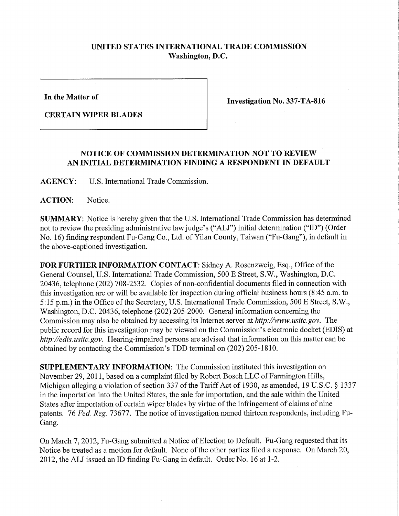## **UNITED STATES INTERNATIONAL TRADE COMMISSION Washington, D.C.**

**In the Matter of** 

**CERTAIN WIPER BLADES** 

**Investigation No. 337-TA-816** 

## **NOTICE OF COMMISSION DETERMINATION NOT TO REVIEW AN INITIAL DETERMINATION FINDING A RESPONDENT IN DEFAULT**

**AGENCY:** U.S. International Trade Commission.

**ACTION:** Notice.

**SUMMARY:** Notice is hereby given that the U.S. International Trade Commission has determined not to review the presiding administrative law judge's ("ALJ") initial determination ("ID") (Order No. 16) finding respondent Fu-Gang Co., Ltd. of Yilan County, Taiwan ("Fu-Gang"), in default in the above-captioned investigation.

**FOR FURTHER INFORMATION CONTACT:** Sidney A. Rosenzweig, Esq., Office of the General Counsel, U.S. International Trade Commission, 500 E Street, S.W., Washington, D.C. 20436, telephone (202) 708-2532. Copies of non-confidential documents filed in connection with this investigation are or will be available for inspection during official business hours (8:45 a.m. to 5:15 p.m.) in the Office of the Secretary, U.S. International Trade Commission, 500 E Street, S.W., Washington, D.C. 20436, telephone (202) 205-2000. General information concerning the Commission may also be obtained by accessing its Internet server at *http:V/www. usitc. gov.* The public record for this investigation may be viewed on the Commission's electronic docket (EDIS) at *http://edis. usitc.gov.* Hearing-impaired persons are advised that information on this matter can be obtained by contacting the Commission's TDD terminal on (202) 205-1810.

**SUPPLEMENTARY INFORMATION:** The Commission instituted this investigation on November 29, 2011, based on a complaint filed by Robert Bosch LLC of Farmington Hills, Michigan alleging a violation of section 337 of the Tariff Act of 1930, as amended, 19 U.S.C. § 1337 in the importation into the United States, the sale for importation, and the sale within the United States after importation of certain wiper blades by virtue of the infringement of claims of nine patents. 76 *Fed, Reg. 13611.* The notice of investigation named thirteen respondents, including Fu-Gang.

On March 7, 2012, Fu-Gang submitted a Notice of Election to Default. Fu-Gang requested that its Notice be treated as a motion for default. None of the other parties filed a response. On March 20, 2012, the ALJ issued an ID finding Fu-Gang in default. Order No. 16 at 1-2.